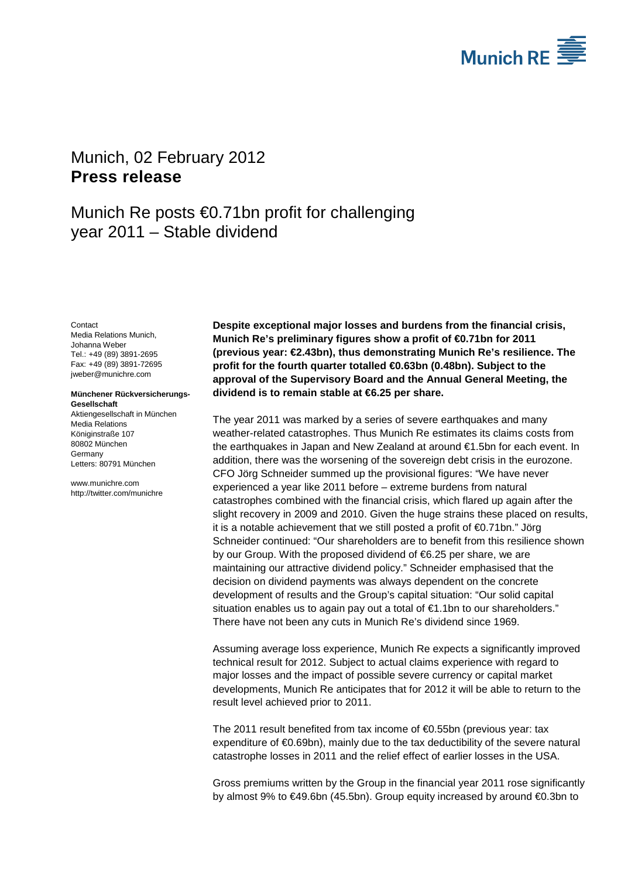

# <span id="page-0-1"></span><span id="page-0-0"></span>Munich, 02 February 2012 **Press release**

# Munich Re posts €0.71bn profit for challenging year 2011 – Stable dividend

<span id="page-0-3"></span><span id="page-0-2"></span>**Contact** Media Relations Munich, Johanna Weber Tel.: +49 (89) 3891-2695 Fax: +49 (89) 3891-72695 jweber@munichre.com

#### **Münchener Rückversicherungs-Gesellschaft**

Aktiengesellschaft in München Media Relations Königinstraße 107 80802 München Germany Letters: 80791 München

www.munichre.com http://twitter.com/munichre **Despite exceptional major losses and burdens from the financial crisis, Munich Re's preliminary figures show a profit of €0.71bn for 2011 (previous year: €2.43bn), thus demonstrating Munich Re's resilience. The profit for the fourth quarter totalled €0.63bn (0.48bn). Subject to the approval of the Supervisory Board and the Annual General Meeting, the dividend is to remain stable at €6.25 per share.**

The year 2011 was marked by a series of severe earthquakes and many weather-related catastrophes. Thus Munich Re estimates its claims costs from the earthquakes in Japan and New Zealand at around €1.5bn for each event. In addition, there was the worsening of the sovereign debt crisis in the eurozone. CFO Jörg Schneider summed up the provisional figures: "We have never experienced a year like 2011 before – extreme burdens from natural catastrophes combined with the financial crisis, which flared up again after the slight recovery in 2009 and 2010. Given the huge strains these placed on results, it is a notable achievement that we still posted a profit of  $\bigoplus$ .71bn." Jörg Schneider continued: "Our shareholders are to benefit from this resilience shown by our Group. With the proposed dividend of €6.25 per share, we are maintaining our attractive dividend policy." Schneider emphasised that the decision on dividend payments was always dependent on the concrete development of results and the Group's capital situation: "Our solid capital situation enables us to again pay out a total of €1.1bn to our shareholders." There have not been any cuts in Munich Re's dividend since 1969.

Assuming average loss experience, Munich Re expects a significantly improved technical result for 2012. Subject to actual claims experience with regard to major losses and the impact of possible severe currency or capital market developments, Munich Re anticipates that for 2012 it will be able to return to the result level achieved prior to 2011.

The 2011 result benefited from tax income of €0.55bn (previous year: tax expenditure of €0.69bn), mainly due to the tax deductibility of the severe natural catastrophe losses in 2011 and the relief effect of earlier losses in the USA.

Gross premiums written by the Group in the financial year 2011 rose significantly by almost 9% to €49.6bn (45.5bn). Group equity increased by around €0.3bn to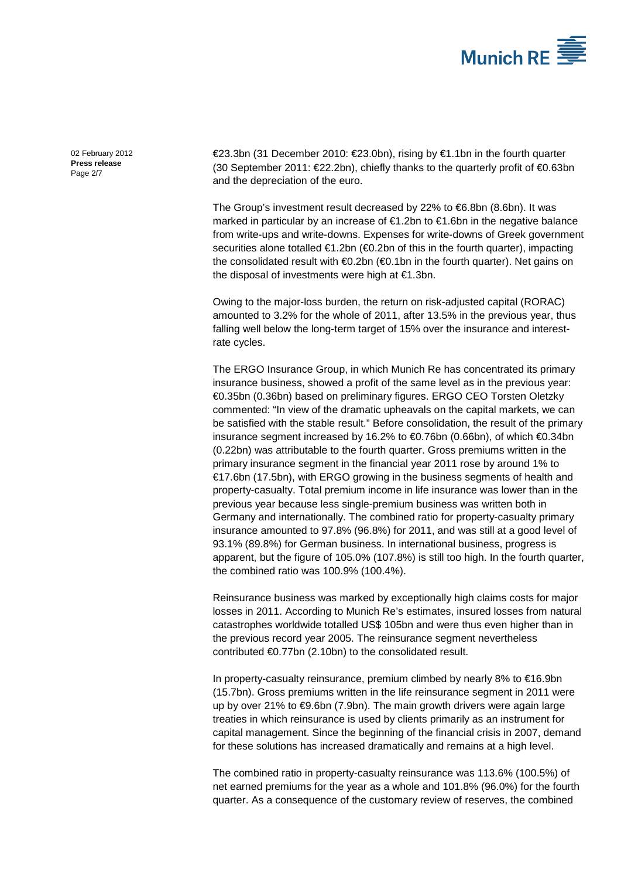

[02 February 2012](#page-0-0) **Press [release](#page-0-1)** Page 2/7

€23.3bn (31 December 2010: €23.0bn), rising by €1.1bn in the fourth quarter (30 September 2011: €22.2bn), chiefly thanks to the quarterly profit of €0.63bn and the depreciation of the euro.

The Group's investment result decreased by 22% to €6.8bn (8.6bn). It was marked in particular by an increase of €1.2bn to €1.6bn in the negative balance from write-ups and write-downs. Expenses for write-downs of Greek government securities alone totalled €1.2bn (€0.2bn of this in the fourth quarter), impacting the consolidated result with €0.2bn (€0.1bn in the fourth quarter). Net gains on the disposal of investments were high at €1.3bn.

Owing to the major-loss burden, the return on risk-adjusted capital (RORAC) amounted to 3.2% for the whole of 2011, after 13.5% in the previous year, thus falling well below the long-term target of 15% over the insurance and interestrate cycles.

The ERGO Insurance Group, in which Munich Re has concentrated its primary insurance business, showed a profit of the same level as in the previous year: €0.35bn (0.36bn) based on preliminary figures. ERGO CEO Torsten Oletzky commented: "In view of the dramatic upheavals on the capital markets, we can be satisfied with the stable result." Before consolidation, the result of the primary insurance segment increased by 16.2% to €0.76bn (0.66bn), of which €0.34bn (0.22bn) was attributable to the fourth quarter. Gross premiums written in the primary insurance segment in the financial year 2011 rose by around 1% to €17.6bn (17.5bn), with ERGO growing in the business segments of health and property-casualty. Total premium income in life insurance was lower than in the previous year because less single-premium business was written both in Germany and internationally. The combined ratio for property-casualty primary insurance amounted to 97.8% (96.8%) for 2011, and was still at a good level of 93.1% (89.8%) for German business. In international business, progress is apparent, but the figure of 105.0% (107.8%) is still too high. In the fourth quarter, the combined ratio was 100.9% (100.4%).

Reinsurance business was marked by exceptionally high claims costs for major losses in 2011. According to Munich Re's estimates, insured losses from natural catastrophes worldwide totalled US\$ 105bn and were thus even higher than in the previous record year 2005. The reinsurance segment nevertheless contributed €0.77bn (2.10bn) to the consolidated result.

In property-casualty reinsurance, premium climbed by nearly 8% to €16.9bn (15.7bn). Gross premiums written in the life reinsurance segment in 2011 were up by over 21% to €9.6bn (7.9bn). The main growth drivers were again large treaties in which reinsurance is used by clients primarily as an instrument for capital management. Since the beginning of the financial crisis in 2007, demand for these solutions has increased dramatically and remains at a high level.

The combined ratio in property-casualty reinsurance was 113.6% (100.5%) of net earned premiums for the year as a whole and 101.8% (96.0%) for the fourth quarter. As a consequence of the customary review of reserves, the combined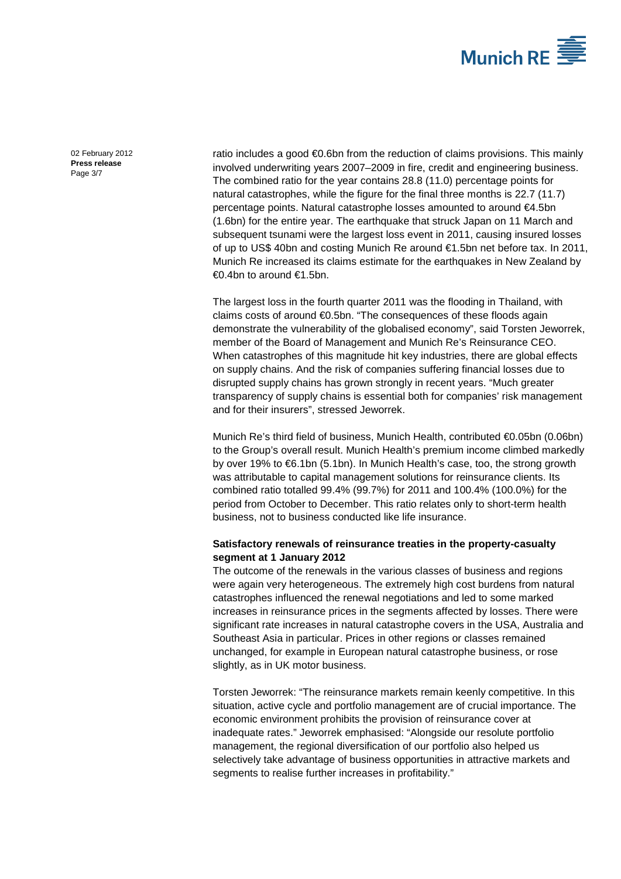

[02 February 2012](#page-0-0) **Press [release](#page-0-1)** Page 3/7

ratio includes a good €0.6bn from the reduction of claims provisions. This mainly involved underwriting years 2007–2009 in fire, credit and engineering business. The combined ratio for the year contains 28.8 (11.0) percentage points for natural catastrophes, while the figure for the final three months is 22.7 (11.7) percentage points. Natural catastrophe losses amounted to around €4.5bn (1.6bn) for the entire year. The earthquake that struck Japan on 11 March and subsequent tsunami were the largest loss event in 2011, causing insured losses of up to US\$ 40bn and costing Munich Re around €1.5bn net before tax. In 2011, Munich Re increased its claims estimate for the earthquakes in New Zealand by €0.4bn to around €1.5bn.

The largest loss in the fourth quarter 2011 was the flooding in Thailand, with claims costs of around €0.5bn. "The consequences of these floods again demonstrate the vulnerability of the globalised economy", said Torsten Jeworrek, member of the Board of Management and Munich Re's Reinsurance CEO. When catastrophes of this magnitude hit key industries, there are global effects on supply chains. And the risk of companies suffering financial losses due to disrupted supply chains has grown strongly in recent years. "Much greater transparency of supply chains is essential both for companies' risk management and for their insurers", stressed Jeworrek.

Munich Re's third field of business, Munich Health, contributed €0.05bn (0.06bn) to the Group's overall result. Munich Health's premium income climbed markedly by over 19% to €6.1bn (5.1bn). In Munich Health's case, too, the strong growth was attributable to capital management solutions for reinsurance clients. Its combined ratio totalled 99.4% (99.7%) for 2011 and 100.4% (100.0%) for the period from October to December. This ratio relates only to short-term health business, not to business conducted like life insurance.

### **Satisfactory renewals of reinsurance treaties in the property-casualty segment at 1 January 2012**

The outcome of the renewals in the various classes of business and regions were again very heterogeneous. The extremely high cost burdens from natural catastrophes influenced the renewal negotiations and led to some marked increases in reinsurance prices in the segments affected by losses. There were significant rate increases in natural catastrophe covers in the USA, Australia and Southeast Asia in particular. Prices in other regions or classes remained unchanged, for example in European natural catastrophe business, or rose slightly, as in UK motor business.

Torsten Jeworrek: "The reinsurance markets remain keenly competitive. In this situation, active cycle and portfolio management are of crucial importance. The economic environment prohibits the provision of reinsurance cover at inadequate rates." Jeworrek emphasised: "Alongside our resolute portfolio management, the regional diversification of our portfolio also helped us selectively take advantage of business opportunities in attractive markets and segments to realise further increases in profitability."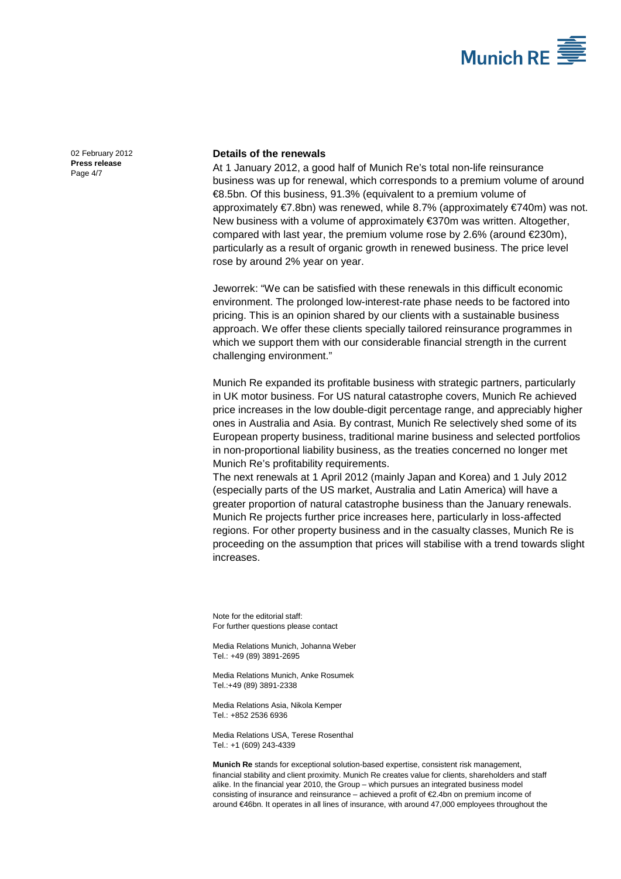

[02 February 2012](#page-0-0) **Press [release](#page-0-1)** Page 4/7

### **Details of the renewals**

At 1 January 2012, a good half of Munich Re's total non-life reinsurance business was up for renewal, which corresponds to a premium volume of around €8.5bn. Of this business, 91.3% (equivalent to a premium volume of approximately €7.8bn) was renewed, while 8.7% (approximately €740m) was not. New business with a volume of approximately €370m was written. Altogether, compared with last year, the premium volume rose by 2.6% (around  $E$ 230m), particularly as a result of organic growth in renewed business. The price level rose by around 2% year on year.

Jeworrek: "We can be satisfied with these renewals in this difficult economic environment. The prolonged low-interest-rate phase needs to be factored into pricing. This is an opinion shared by our clients with a sustainable business approach. We offer these clients specially tailored reinsurance programmes in which we support them with our considerable financial strength in the current challenging environment."

Munich Re expanded its profitable business with strategic partners, particularly in UK motor business. For US natural catastrophe covers, Munich Re achieved price increases in the low double-digit percentage range, and appreciably higher ones in Australia and Asia. By contrast, Munich Re selectively shed some of its European property business, traditional marine business and selected portfolios in non-proportional liability business, as the treaties concerned no longer met Munich Re's profitability requirements.

The next renewals at 1 April 2012 (mainly Japan and Korea) and 1 July 2012 (especially parts of the US market, Australia and Latin America) will have a greater proportion of natural catastrophe business than the January renewals. Munich Re projects further price increases here, particularly in loss-affected regions. For other property business and in the casualty classes, Munich Re is proceeding on the assumption that prices will stabilise with a trend towards slight increases.

Note for the editorial staff: For further questions please contact

Media Relations Munich[, Johanna Weber](#page-0-2) Tel.: +49 (89) 389[1-2695](#page-0-3)

Media Relations Munich, Anke Rosumek Tel.:+49 (89) 3891-2338

Media Relations Asia, Nikola Kemper Tel.: +852 2536 6936

Media Relations USA, Terese Rosenthal Tel.: +1 (609) 243-4339

**Munich Re** stands for exceptional solution-based expertise, consistent risk management, financial stability and client proximity. Munich Re creates value for clients, shareholders and staff alike. In the financial year 2010, the Group – which pursues an integrated business model consisting of insurance and reinsurance – achieved a profit of €2.4bn on premium income of around €46bn. It operates in all lines of insurance, with around 47,000 employees throughout the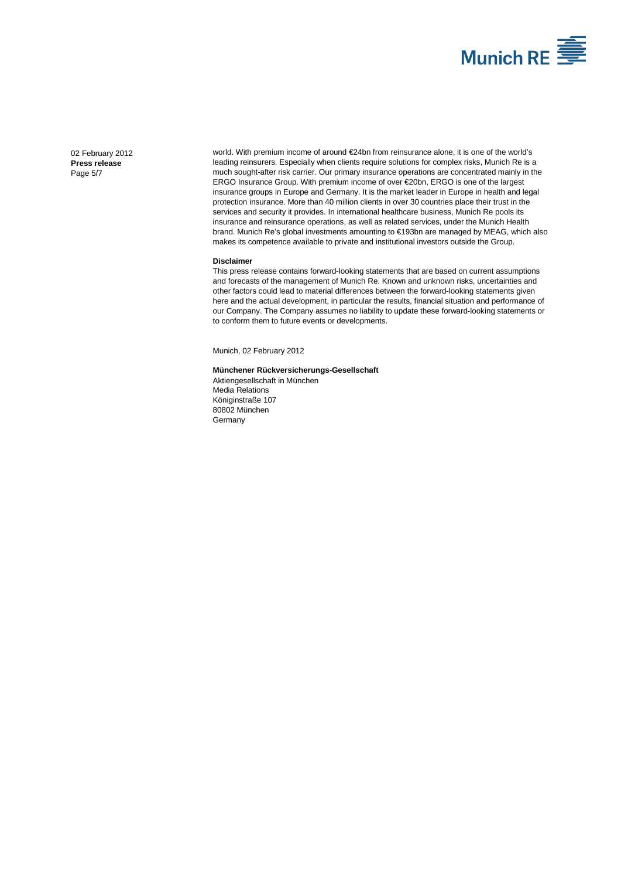

[02 February 2012](#page-0-0) **Press [release](#page-0-1)** Page 5/7

world. With premium income of around €24bn from reinsurance alone, it is one of the world's leading reinsurers. Especially when clients require solutions for complex risks, Munich Re is a much sought-after risk carrier. Our primary insurance operations are concentrated mainly in the ERGO Insurance Group. With premium income of over €20bn, ERGO is one of the largest insurance groups in Europe and Germany. It is the market leader in Europe in health and legal protection insurance. More than 40 million clients in over 30 countries place their trust in the services and security it provides. In international healthcare business, Munich Re pools its insurance and reinsurance operations, as well as related services, under the Munich Health brand. Munich Re's global investments amounting to €193bn are managed by MEAG, which also makes its competence available to private and institutional investors outside the Group.

#### **Disclaimer**

This press release contains forward-looking statements that are based on current assumptions and forecasts of the management of Munich Re. Known and unknown risks, uncertainties and other factors could lead to material differences between the forward-looking statements given here and the actual development, in particular the results, financial situation and performance of our Company. The Company assumes no liability to update these forward-looking statements or to conform them to future events or developments.

Munich[, 02 February 2012](#page-0-0)

#### **Münchener Rückversicherungs-Gesellschaft**

Aktiengesellschaft in München Media Relations Königinstraße 107 80802 München Germany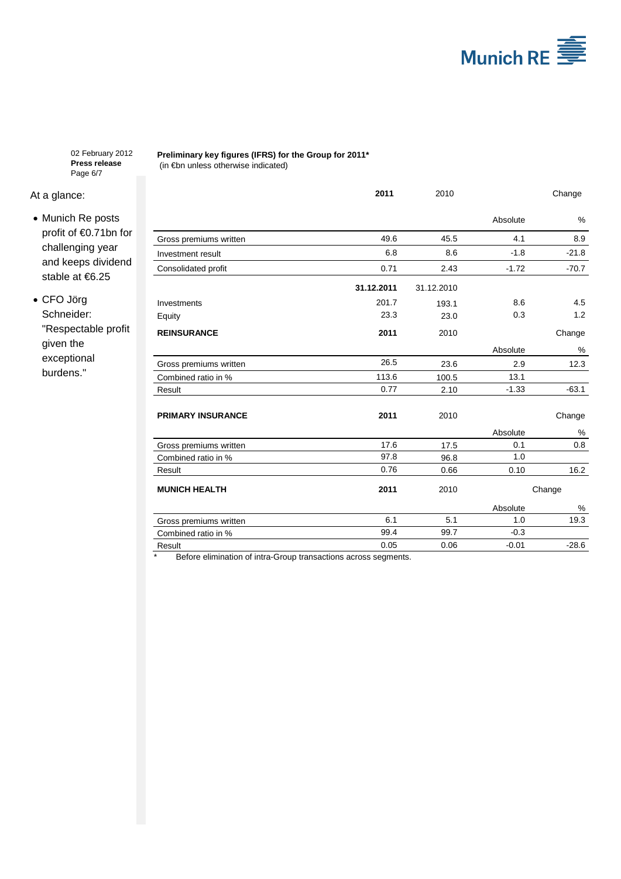

[02 February 2012](#page-0-0) **Press [release](#page-0-1)** Page 6/7

## At a glance:

- Munich Re posts profit of €0.71bn for challenging year and keeps dividend stable at €6.25
- CFO Jörg Schneider: "Respectable profit given the exceptional burdens."

**Preliminary key figures (IFRS) for the Group for 2011\*** (in €bn unless otherwise indicated)

|                          | 2011       | 2010       |          | Change  |
|--------------------------|------------|------------|----------|---------|
|                          |            |            | Absolute | $\%$    |
| Gross premiums written   | 49.6       | 45.5       | 4.1      | 8.9     |
| Investment result        | 6.8        | 8.6        | $-1.8$   | $-21.8$ |
| Consolidated profit      | 0.71       | 2.43       | $-1.72$  | $-70.7$ |
|                          | 31.12.2011 | 31.12.2010 |          |         |
| Investments              | 201.7      | 193.1      | 8.6      | 4.5     |
| Equity                   | 23.3       | 23.0       | 0.3      | 1.2     |
| <b>REINSURANCE</b>       | 2011       | 2010       |          | Change  |
|                          |            |            | Absolute | %       |
| Gross premiums written   | 26.5       | 23.6       | 2.9      | 12.3    |
| Combined ratio in %      | 113.6      | 100.5      | 13.1     |         |
| Result                   | 0.77       | 2.10       | $-1.33$  | $-63.1$ |
| <b>PRIMARY INSURANCE</b> | 2011       | 2010       |          | Change  |
|                          |            |            | Absolute | %       |
| Gross premiums written   | 17.6       | 17.5       | 0.1      | 0.8     |
| Combined ratio in %      | 97.8       | 96.8       | 1.0      |         |
| Result                   | 0.76       | 0.66       | 0.10     | 16.2    |
| <b>MUNICH HEALTH</b>     | 2011       | 2010       |          | Change  |
|                          |            |            | Absolute | %       |
| Gross premiums written   | 6.1        | 5.1        | 1.0      | 19.3    |
| Combined ratio in %      | 99.4       | 99.7       | $-0.3$   |         |
| Result                   | 0.05       | 0.06       | $-0.01$  | $-28.6$ |

\* Before elimination of intra-Group transactions across segments.